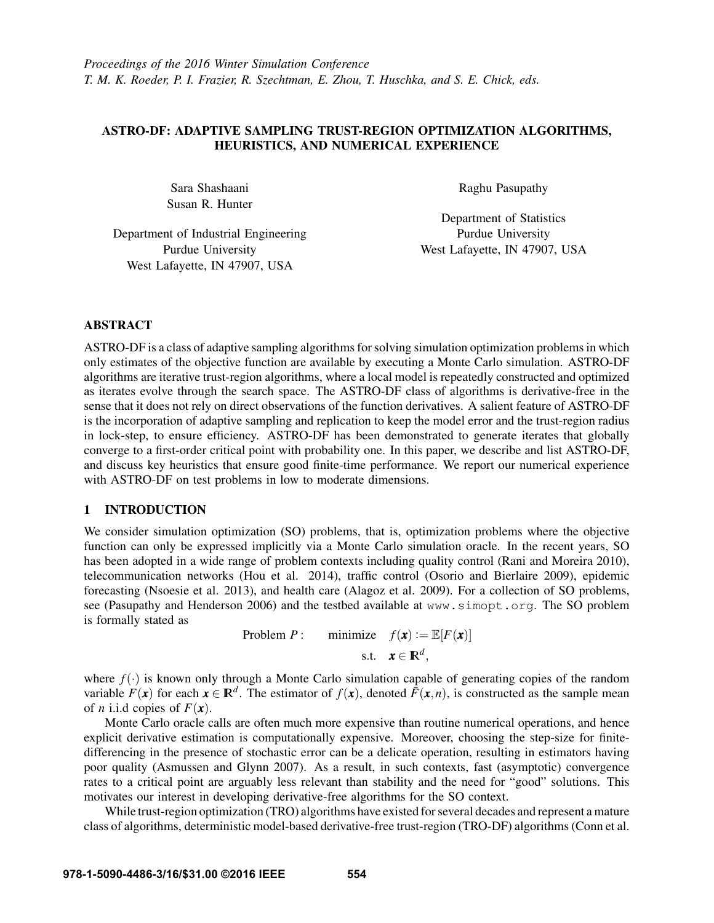# ASTRO-DF: ADAPTIVE SAMPLING TRUST-REGION OPTIMIZATION ALGORITHMS, HEURISTICS, AND NUMERICAL EXPERIENCE

Sara Shashaani Susan R. Hunter Raghu Pasupathy

Department of Industrial Engineering Purdue University West Lafayette, IN 47907, USA

Department of Statistics Purdue University West Lafayette, IN 47907, USA

# ABSTRACT

ASTRO-DF is a class of adaptive sampling algorithms for solving simulation optimization problems in which only estimates of the objective function are available by executing a Monte Carlo simulation. ASTRO-DF algorithms are iterative trust-region algorithms, where a local model is repeatedly constructed and optimized as iterates evolve through the search space. The ASTRO-DF class of algorithms is derivative-free in the sense that it does not rely on direct observations of the function derivatives. A salient feature of ASTRO-DF is the incorporation of adaptive sampling and replication to keep the model error and the trust-region radius in lock-step, to ensure efficiency. ASTRO-DF has been demonstrated to generate iterates that globally converge to a first-order critical point with probability one. In this paper, we describe and list ASTRO-DF, and discuss key heuristics that ensure good finite-time performance. We report our numerical experience with ASTRO-DF on test problems in low to moderate dimensions.

# 1 INTRODUCTION

We consider simulation optimization (SO) problems, that is, optimization problems where the objective function can only be expressed implicitly via a Monte Carlo simulation oracle. In the recent years, SO has been adopted in a wide range of problem contexts including quality control (Rani and Moreira 2010), telecommunication networks (Hou et al. 2014), traffic control (Osorio and Bierlaire 2009), epidemic forecasting (Nsoesie et al. 2013), and health care (Alagoz et al. 2009). For a collection of SO problems, see (Pasupathy and Henderson 2006) and the testbed available at www.simopt.org. The SO problem is formally stated as

> Problem *P* : minimize  $f(\mathbf{x}) := \mathbb{E}[F(\mathbf{x})]$ s.t.  $\mathbf{x} \in \mathbb{R}^d$ ,

where  $f(\cdot)$  is known only through a Monte Carlo simulation capable of generating copies of the random variable  $F(x)$  for each  $x \in \mathbb{R}^d$ . The estimator of  $f(x)$ , denoted  $\bar{F}(x,n)$ , is constructed as the sample mean of *n* i.i.d copies of  $F(x)$ .

Monte Carlo oracle calls are often much more expensive than routine numerical operations, and hence explicit derivative estimation is computationally expensive. Moreover, choosing the step-size for finitedifferencing in the presence of stochastic error can be a delicate operation, resulting in estimators having poor quality (Asmussen and Glynn 2007). As a result, in such contexts, fast (asymptotic) convergence rates to a critical point are arguably less relevant than stability and the need for "good" solutions. This motivates our interest in developing derivative-free algorithms for the SO context.

While trust-region optimization (TRO) algorithms have existed for several decades and represent a mature class of algorithms, deterministic model-based derivative-free trust-region (TRO-DF) algorithms (Conn et al.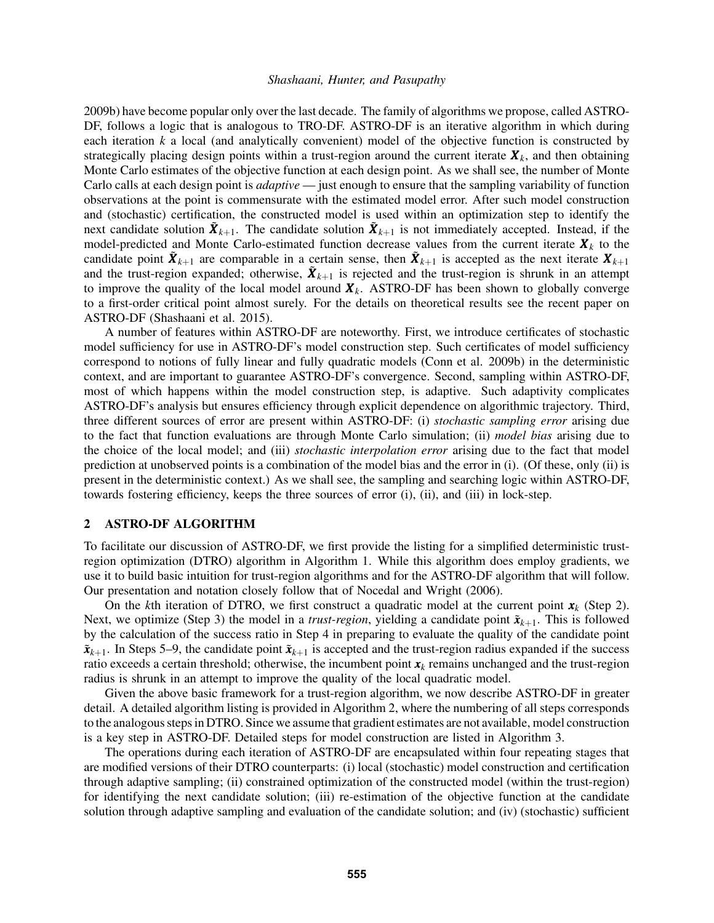2009b) have become popular only over the last decade. The family of algorithms we propose, called ASTRO-DF, follows a logic that is analogous to TRO-DF. ASTRO-DF is an iterative algorithm in which during each iteration *k* a local (and analytically convenient) model of the objective function is constructed by strategically placing design points within a trust-region around the current iterate  $\bm{X}_k$ , and then obtaining Monte Carlo estimates of the objective function at each design point. As we shall see, the number of Monte Carlo calls at each design point is *adaptive* — just enough to ensure that the sampling variability of function observations at the point is commensurate with the estimated model error. After such model construction and (stochastic) certification, the constructed model is used within an optimization step to identify the next candidate solution  $\tilde{\bm{X}}_{k+1}$ . The candidate solution  $\tilde{\bm{X}}_{k+1}$  is not immediately accepted. Instead, if the model-predicted and Monte Carlo-estimated function decrease values from the current iterate  $\mathbf{X}_k$  to the candidate point  $\tilde{X}_{k+1}$  are comparable in a certain sense, then  $\tilde{X}_{k+1}$  is accepted as the next iterate  $X_{k+1}$ and the trust-region expanded; otherwise,  $\tilde{\bm{X}}_{k+1}$  is rejected and the trust-region is shrunk in an attempt to improve the quality of the local model around  $X_k$ . ASTRO-DF has been shown to globally converge to a first-order critical point almost surely. For the details on theoretical results see the recent paper on ASTRO-DF (Shashaani et al. 2015).

A number of features within ASTRO-DF are noteworthy. First, we introduce certificates of stochastic model sufficiency for use in ASTRO-DF's model construction step. Such certificates of model sufficiency correspond to notions of fully linear and fully quadratic models (Conn et al. 2009b) in the deterministic context, and are important to guarantee ASTRO-DF's convergence. Second, sampling within ASTRO-DF, most of which happens within the model construction step, is adaptive. Such adaptivity complicates ASTRO-DF's analysis but ensures efficiency through explicit dependence on algorithmic trajectory. Third, three different sources of error are present within ASTRO-DF: (i) *stochastic sampling error* arising due to the fact that function evaluations are through Monte Carlo simulation; (ii) *model bias* arising due to the choice of the local model; and (iii) *stochastic interpolation error* arising due to the fact that model prediction at unobserved points is a combination of the model bias and the error in (i). (Of these, only (ii) is present in the deterministic context.) As we shall see, the sampling and searching logic within ASTRO-DF, towards fostering efficiency, keeps the three sources of error (i), (ii), and (iii) in lock-step.

## 2 ASTRO-DF ALGORITHM

To facilitate our discussion of ASTRO-DF, we first provide the listing for a simplified deterministic trustregion optimization (DTRO) algorithm in Algorithm 1. While this algorithm does employ gradients, we use it to build basic intuition for trust-region algorithms and for the ASTRO-DF algorithm that will follow. Our presentation and notation closely follow that of Nocedal and Wright (2006).

On the *k*th iteration of DTRO, we first construct a quadratic model at the current point  $x_k$  (Step 2). Next, we optimize (Step 3) the model in a *trust-region*, yielding a candidate point  $\tilde{\mathbf{x}}_{k+1}$ . This is followed by the calculation of the success ratio in Step 4 in preparing to evaluate the quality of the candidate point  $\tilde{\mathbf{x}}_{k+1}$ . In Steps 5–9, the candidate point  $\tilde{\mathbf{x}}_{k+1}$  is accepted and the trust-region radius expanded if the success ratio exceeds a certain threshold; otherwise, the incumbent point  $x_k$  remains unchanged and the trust-region radius is shrunk in an attempt to improve the quality of the local quadratic model.

Given the above basic framework for a trust-region algorithm, we now describe ASTRO-DF in greater detail. A detailed algorithm listing is provided in Algorithm 2, where the numbering of all steps corresponds to the analogous steps in DTRO. Since we assume that gradient estimates are not available, model construction is a key step in ASTRO-DF. Detailed steps for model construction are listed in Algorithm 3.

The operations during each iteration of ASTRO-DF are encapsulated within four repeating stages that are modified versions of their DTRO counterparts: (i) local (stochastic) model construction and certification through adaptive sampling; (ii) constrained optimization of the constructed model (within the trust-region) for identifying the next candidate solution; (iii) re-estimation of the objective function at the candidate solution through adaptive sampling and evaluation of the candidate solution; and (iv) (stochastic) sufficient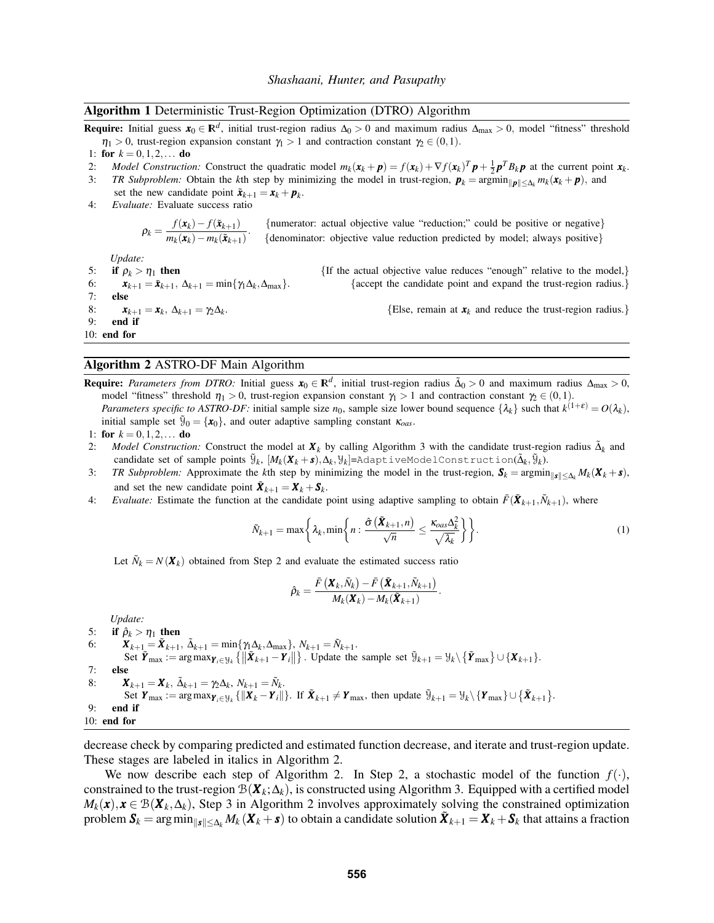#### Algorithm 1 Deterministic Trust-Region Optimization (DTRO) Algorithm

Require: Initial guess  $x_0 \in \mathbb{R}^d$ , initial trust-region radius ∆<sub>0</sub> > 0 and maximum radius ∆<sub>max</sub> > 0, model "fitness" threshold  $\eta_1 > 0$ , trust-region expansion constant  $\gamma_1 > 1$  and contraction constant  $\gamma_2 \in (0,1)$ .

- 2: *Model Construction:* Construct the quadratic model  $m_k(\mathbf{x}_k + \mathbf{p}) = f(\mathbf{x}_k) + \nabla f(\mathbf{x}_k)^T \mathbf{p} + \frac{1}{2} \mathbf{p}^T B_k \mathbf{p}$  at the current point  $\mathbf{x}_k$ .
- 3: *TR Subproblem:* Obtain the *k*th step by minimizing the model in trust-region,  $p_k = \arg\min_{\|\pmb{p}\| \leq \Delta_k} m_k(\pmb{x}_k + \pmb{p})$ , and
- set the new candidate point  $\tilde{\mathbf{x}}_{k+1} = \mathbf{x}_k + \mathbf{p}_k$ . 4: *Evaluate:* Evaluate success ratio

 $\rho_k = \frac{f(\mathbf{x}_k) - f(\mathbf{x}_{k+1})}{m(\mathbf{x}) - m(\mathbf{x})}$  $\frac{J(\mathbf{x}_k) - J(\mathbf{x}_{k+1})}{m_k(\mathbf{x}_k) - m_k(\mathbf{x}_{k+1})}$ . {numerator: actual objective value "reduction;" could be positive or negative} {denominator: objective value reduction predicted by model; always positive}

*Update:*

5: **if**  $\rho_k > \eta_1$  then {If the actual objective value reduces "enough" relative to the model,  $\delta$ :  $\mathbf{x}_{k+1} = \tilde{\mathbf{x}}_{k+1}$ ,  $\Delta_{k+1} = \min\{\gamma \Delta_k, \Delta_{\text{max}}\}\$ . {accept the candidate point and expand the trust-region radius 6:  $\mathbf{x}_{k+1} = \tilde{\mathbf{x}}_{k+1}, \ \Delta_{k+1} = \min\{\gamma_1\Delta_k, \Delta_{\text{max}}\}.$ <br>7: **else** else 8:  $x_{k+1} = x_k, \ \Delta_{k+1} = \gamma_2 \Delta_k$ 9: end if 10: end for

### Algorithm 2 ASTRO-DF Main Algorithm

Require: *Parameters from DTRO:* Initial guess  $x_0 \in \mathbb{R}^d$ , initial trust-region radius  $\tilde{\Delta}_0 > 0$  and maximum radius  $\Delta_{\max} > 0$ , model "fitness" threshold  $\eta_1 > 0$ , trust-region expansion constant  $\gamma_1 > 1$  and contraction constant  $\gamma_2 \in (0,1)$ . *Parameters specific to ASTRO-DF:* initial sample size  $n_0$ , sample size lower bound sequence  $\{\lambda_k\}$  such that  $k^{(1+\epsilon)} = O(\lambda_k)$ , initial sample set  $\tilde{y}_0 = {\mathbf{x}_0}$ , and outer adaptive sampling constant  $\kappa_{\text{oas}}$ .

1: for  $k = 0, 1, 2, \ldots$  do

- 2: *Model Construction:* Construct the model at  $\mathbf{X}_k$  by calling Algorithm 3 with the candidate trust-region radius  $\tilde{\Delta}_k$  and  $\text{candidate set of sample points } \widetilde{\mathcal{Y}}_k, \ [M_k(\boldsymbol{X}_k+\boldsymbol{s}),\Delta_k,\mathcal{Y}_k] = \text{AdaptiveModelConstruction}(\tilde{\Delta}_k,\widetilde{\mathcal{Y}}_k).$
- 3: *TR Subproblem:* Approximate the *k*th step by minimizing the model in the trust-region,  $S_k = \arg\min_{\|g\| \leq \Lambda_k} M_k(\mathbf{X}_k + \mathbf{s})$ , and set the new candidate point  $\tilde{X}_{k+1} = X_k + S_k$ .
- 4: *Evaluate:* Estimate the function at the candidate point using adaptive sampling to obtain  $\bar{F}(\tilde{\bm{X}}_{k+1}, \tilde{N}_{k+1})$ , where

$$
\tilde{N}_{k+1} = \max\left\{\lambda_k, \min\left\{n : \frac{\hat{\sigma}\left(\tilde{\boldsymbol{X}}_{k+1}, n\right)}{\sqrt{n}} \le \frac{\kappa_{oas} \Delta_k^2}{\sqrt{\lambda_k}}\right\}\right\}.
$$
\n(1)

{accept the candidate point and expand the trust-region radius.}

{Else, remain at  $x_k$  and reduce the trust-region radius.}

Let  $\tilde{N}_k = N(\mathbf{X}_k)$  obtained from Step 2 and evaluate the estimated success ratio

$$
\hat{\rho}_k = \frac{\bar{F}\left(\boldsymbol{X}_k,\tilde{N}_k\right)-\bar{F}\left(\tilde{\boldsymbol{X}}_{k+1},\tilde{N}_{k+1}\right)}{M_k(\boldsymbol{X}_k)-M_k(\tilde{\boldsymbol{X}}_{k+1})}.
$$

*Update:* 5: if  $\hat{\rho}_k > \eta_1$  then 6:  $\bm{X}_{k+1} = \bm{\tilde{X}}_{k+1}, \ \tilde{\Delta}_{k+1} = \min\{\gamma_1 \Delta_k, \Delta_{\max}\}, \ N_{k+1} = \tilde{N}_{k+1}.$ Set  $\tilde{\mathbf{Y}}_{\text{max}} := \arg \max_{\mathbf{Y}_i \in \mathcal{Y}_k} \{ ||\tilde{\mathbf{X}}_{k+1} - \mathbf{Y}_i|| \}$ . Update the sample set  $\tilde{y}_{k+1} = \mathcal{Y}_k \setminus \{ \tilde{\mathbf{Y}}_{\text{max}} \} \cup \{ \mathbf{X}_{k+1} \}.$ 7: else 8:  $\bm{X}_{k+1} = \bm{X}_k, \ \tilde{\Delta}_{k+1} = \gamma_2 \Delta_k, \ N_{k+1} = \tilde{N}_k.$ Set  $\boldsymbol{Y}_{\text{max}} := \arg \max_{\boldsymbol{Y}_i \in \mathcal{Y}_k} \{ ||\boldsymbol{X}_k - \boldsymbol{Y}_i|| \}$ . If  $\boldsymbol{\tilde{X}}_{k+1} \neq \boldsymbol{Y}_{\text{max}}$ , then update  $\tilde{\mathcal{Y}}_{k+1} = \mathcal{Y}_k \setminus \{ \boldsymbol{Y}_{\text{max}} \} \cup \{ \tilde{\boldsymbol{X}}_{k+1} \}$ . 9: end if 10: end for

decrease check by comparing predicted and estimated function decrease, and iterate and trust-region update. These stages are labeled in italics in Algorithm 2.

We now describe each step of Algorithm 2. In Step 2, a stochastic model of the function  $f(\cdot)$ , constrained to the trust-region  $\mathcal{B}(\mathbf{X}_k;\Delta_k)$ , is constructed using Algorithm 3. Equipped with a certified model  $M_k(\mathbf{x}), \mathbf{x} \in \mathcal{B}(\mathbf{X}_k, \Delta_k)$ , Step 3 in Algorithm 2 involves approximately solving the constrained optimization problem  $S_k = \arg \min_{\|s\| \leq \Delta_k} M_k(X_k + s)$  to obtain a candidate solution  $\tilde{X}_{k+1} = X_k + S_k$  that attains a fraction

<sup>1:</sup> for  $k = 0, 1, 2, \ldots$  do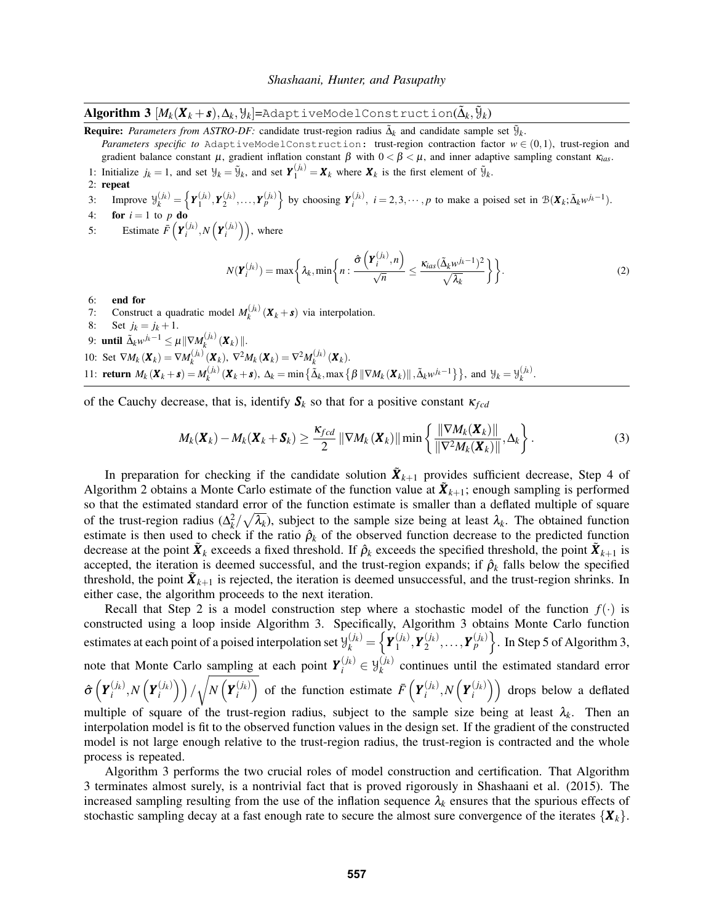$\bf{Algorithm ~3} ~ [M_k(X_k+s), \Delta_k, \mathcal{Y}_k]$ =AdaptiveModelConstruction( $\tilde{\Delta}_k, \tilde{\mathcal{Y}}_k)$ 

**Require:** Parameters from ASTRO-DF: candidate trust-region radius  $\tilde{\Delta}_k$  and candidate sample set  $\tilde{\mathcal{Y}}_k$ .

*Parameters specific to* AdaptiveModelConstruction: trust-region contraction factor  $w \in (0,1)$ , trust-region and gradient balance constant  $\mu$ , gradient inflation constant  $\beta$  with  $0 < \beta < \mu$ , and inner adaptive sampling constant  $\kappa_{ias}$ .

- 1: Initialize  $j_k = 1$ , and set  $\mathcal{Y}_k = \tilde{\mathcal{Y}}_k$ , and set  $\mathbf{Y}_1^{(j_k)} = \mathbf{X}_k$  where  $\mathbf{X}_k$  is the first element of  $\tilde{\mathcal{Y}}_k$ .
- 2: repeat

3: Improve  $\mathcal{Y}_k^{(j_k)} = \left\{ \boldsymbol{Y}_1^{(j_k)}, \boldsymbol{Y}_2^{(j_k)}, \dots, \boldsymbol{Y}_p^{(j_k)} \right\}$  by choosing  $\boldsymbol{Y}_i^{(j_k)}$ ,  $i = 2, 3, \dots, p$  to make a poised set in  $\mathcal{B}(\boldsymbol{X}_k; \tilde{\Delta}_k w^{j_k-1})$ .

4: **for**  $i = 1$  to  $p$  **d** 

5: Estimate  $\bar{F}\left(\boldsymbol{Y}_i^{(j_k)}, N\left(\boldsymbol{Y}_i^{(j_k)}\right)\right)$ , where

$$
N(\boldsymbol{Y}_i^{(j_k)}) = \max\left\{\lambda_k, \min\left\{n : \frac{\hat{\sigma}\left(\boldsymbol{Y}_i^{(j_k)}, n\right)}{\sqrt{n}} \le \frac{\kappa_{ias}(\tilde{\Delta}_k w^{j_k - 1})^2}{\sqrt{\lambda_k}}\right\}\right\}.
$$
 (2)

- 6: end for
- 7: Construct a quadratic model  $M_k^{(j_k)}(\mathbf{X}_k + \mathbf{s})$  via interpolation.
- 8: Set  $j_k = j_k + 1$ .

process is repeated.

- 9: **until**  $\tilde{\Delta}_k w^{j_k-1}$  ≤  $\mu$  ||∇ $M_k^{(j_k)}$  ( $\boldsymbol{X}_k$ ) ||.
- 10: Set  $\nabla M_k(\mathbf{X}_k) = \nabla M_k^{(j_k)}(\mathbf{X}_k), \ \nabla^2 M_k(\mathbf{X}_k) = \nabla^2 M_k^{(j_k)}(\mathbf{X}_k).$
- 11: **return**  $M_k(\mathbf{X}_k + \mathbf{s}) = M_k^{(j_k)}(\mathbf{X}_k + \mathbf{s}), \ \Delta_k = \min\{\tilde{\Delta}_k, \max\{\beta \|\nabla M_k(\mathbf{X}_k)\|, \tilde{\Delta}_k w^{j_k-1}\}\}\$ , and  $\mathcal{Y}_k = \mathcal{Y}_k^{(j_k)}$ .

of the Cauchy decrease, that is, identify  $S_k$  so that for a positive constant  $\kappa_{\text{f}cd}$ 

$$
M_k(\boldsymbol{X}_k) - M_k(\boldsymbol{X}_k + \boldsymbol{S}_k) \ge \frac{\kappa_{fcd}}{2} \left\| \nabla M_k(\boldsymbol{X}_k) \right\| \min \left\{ \frac{\left\| \nabla M_k(\boldsymbol{X}_k) \right\|}{\left\| \nabla^2 M_k(\boldsymbol{X}_k) \right\|}, \Delta_k \right\}.
$$
 (3)

In preparation for checking if the candidate solution  $\tilde{\bm{X}}_{k+1}$  provides sufficient decrease, Step 4 of Algorithm 2 obtains a Monte Carlo estimate of the function value at  $\tilde{\bm{X}}_{k+1}$ ; enough sampling is performed so that the estimated standard error of the function estimate is smaller than a deflated multiple of square of the trust-region radius  $(\Delta_k^2/\sqrt{\lambda_k})$ , subject to the sample size being at least  $\lambda_k$ . The obtained function estimate is then used to check if the ratio  $\hat{\rho}_k$  of the observed function decrease to the predicted function decrease at the point  $\tilde{X}_k$  exceeds a fixed threshold. If  $\hat{\rho}_k$  exceeds the specified threshold, the point  $\tilde{X}_{k+1}$  is accepted, the iteration is deemed successful, and the trust-region expands; if  $\hat{\rho}_k$  falls below the specified threshold, the point  $\tilde{\bm{X}}_{k+1}$  is rejected, the iteration is deemed unsuccessful, and the trust-region shrinks. In either case, the algorithm proceeds to the next iteration.

Recall that Step 2 is a model construction step where a stochastic model of the function  $f(\cdot)$  is constructed using a loop inside Algorithm 3. Specifically, Algorithm 3 obtains Monte Carlo function estimates at each point of a poised interpolation set  $\mathcal{Y}_k^{(j_k)} = \left\{ \bm{Y}_1^{(j_k)} \right\}$  $\binom{(j_k)}{1}, \bm{Y}_2^{(j_k)}$  $\left\{\frac{(j_k)}{2},\ldots,\frac{\gamma}{p} \right\}$ . In Step 5 of Algorithm 3, note that Monte Carlo sampling at each point  $Y_i^{(j_k)} \in \mathcal{Y}_k^{(j_k)}$  $\binom{f(k)}{k}$  continues until the estimated standard error  $\hat{\sigma}\left(\boldsymbol{Y}_{i}^{(j_{k})},N\left(\boldsymbol{Y}_{i}^{(j_{k})}\right)\right)/\sqrt{\sigma}$  $N\left(\bm{Y}_i^{(j_k)}\right)$  of the function estimate  $\bar{F}\left(\bm{Y}_i^{(j_k)},N\left(\bm{Y}_i^{(j_k)}\right)\right)$  drops below a deflated multiple of square of the trust-region radius, subject to the sample size being at least  $\lambda_k$ . Then an interpolation model is fit to the observed function values in the design set. If the gradient of the constructed model is not large enough relative to the trust-region radius, the trust-region is contracted and the whole

Algorithm 3 performs the two crucial roles of model construction and certification. That Algorithm 3 terminates almost surely, is a nontrivial fact that is proved rigorously in Shashaani et al. (2015). The increased sampling resulting from the use of the inflation sequence  $\lambda_k$  ensures that the spurious effects of stochastic sampling decay at a fast enough rate to secure the almost sure convergence of the iterates  $\{X_k\}$ .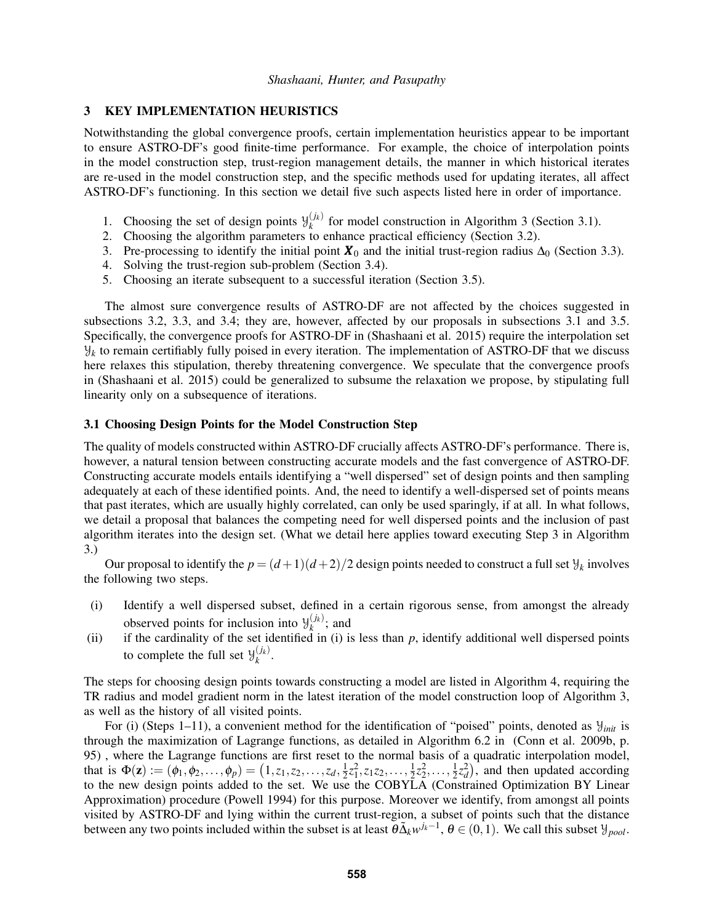## 3 KEY IMPLEMENTATION HEURISTICS

Notwithstanding the global convergence proofs, certain implementation heuristics appear to be important to ensure ASTRO-DF's good finite-time performance. For example, the choice of interpolation points in the model construction step, trust-region management details, the manner in which historical iterates are re-used in the model construction step, and the specific methods used for updating iterates, all affect ASTRO-DF's functioning. In this section we detail five such aspects listed here in order of importance.

- 1. Choosing the set of design points  $\mathcal{Y}_k^{(j_k)}$  $\binom{f(k)}{k}$  for model construction in Algorithm 3 (Section 3.1).
- 2. Choosing the algorithm parameters to enhance practical efficiency (Section 3.2).
- 3. Pre-processing to identify the initial point  $\mathbf{X}_0$  and the initial trust-region radius  $\Delta_0$  (Section 3.3).
- 4. Solving the trust-region sub-problem (Section 3.4).
- 5. Choosing an iterate subsequent to a successful iteration (Section 3.5).

The almost sure convergence results of ASTRO-DF are not affected by the choices suggested in subsections 3.2, 3.3, and 3.4; they are, however, affected by our proposals in subsections 3.1 and 3.5. Specifically, the convergence proofs for ASTRO-DF in (Shashaani et al. 2015) require the interpolation set  $\mathcal{Y}_k$  to remain certifiably fully poised in every iteration. The implementation of ASTRO-DF that we discuss here relaxes this stipulation, thereby threatening convergence. We speculate that the convergence proofs in (Shashaani et al. 2015) could be generalized to subsume the relaxation we propose, by stipulating full linearity only on a subsequence of iterations.

### 3.1 Choosing Design Points for the Model Construction Step

The quality of models constructed within ASTRO-DF crucially affects ASTRO-DF's performance. There is, however, a natural tension between constructing accurate models and the fast convergence of ASTRO-DF. Constructing accurate models entails identifying a "well dispersed" set of design points and then sampling adequately at each of these identified points. And, the need to identify a well-dispersed set of points means that past iterates, which are usually highly correlated, can only be used sparingly, if at all. In what follows, we detail a proposal that balances the competing need for well dispersed points and the inclusion of past algorithm iterates into the design set. (What we detail here applies toward executing Step 3 in Algorithm 3.)

Our proposal to identify the  $p = (d+1)(d+2)/2$  design points needed to construct a full set  $\mathcal{Y}_k$  involves the following two steps.

- (i) Identify a well dispersed subset, defined in a certain rigorous sense, from amongst the already observed points for inclusion into  $\mathcal{Y}_k^{(j_k)}$ ; and
- (ii) if the cardinality of the set identified in (i) is less than *p*, identify additional well dispersed points to complete the full set  $\mathcal{Y}_k^{(j_k)}$ *k* .

The steps for choosing design points towards constructing a model are listed in Algorithm 4, requiring the TR radius and model gradient norm in the latest iteration of the model construction loop of Algorithm 3, as well as the history of all visited points.

For (i) (Steps 1–11), a convenient method for the identification of "poised" points, denoted as  $y_{init}$  is through the maximization of Lagrange functions, as detailed in Algorithm 6.2 in (Conn et al. 2009b, p. 95) , where the Lagrange functions are first reset to the normal basis of a quadratic interpolation model, that is  $\Phi(\mathbf{z}) := (\phi_1, \phi_2, \dots, \phi_p) = (1, z_1, z_2, \dots, z_d, \frac{1}{2})$  $\frac{1}{2}z_1^2, z_1z_2, \ldots, \frac{1}{2}$  $\frac{1}{2}z_2^2, \ldots, \frac{1}{2}$  $\frac{1}{2}z_d^2$ , and then updated according to the new design points added to the set. We use the COBYLA (Constrained Optimization BY Linear Approximation) procedure (Powell 1994) for this purpose. Moreover we identify, from amongst all points visited by ASTRO-DF and lying within the current trust-region, a subset of points such that the distance between any two points included within the subset is at least  $\theta \tilde{\Delta}_k w^{j_k-1}$ ,  $\theta \in (0,1)$ . We call this subset  $\mathcal{Y}_{pool}$ .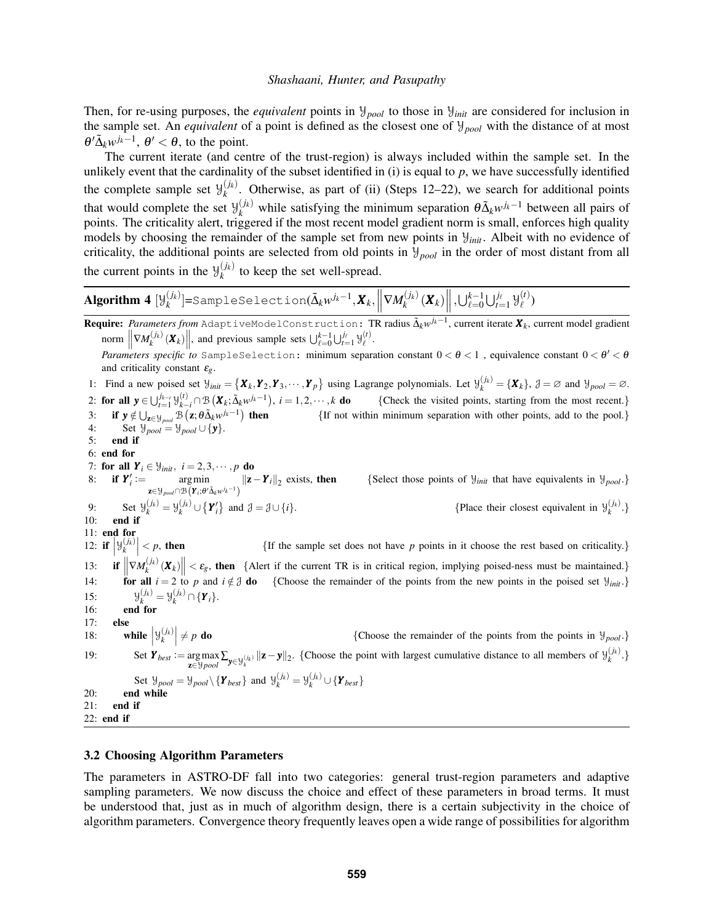Then, for re-using purposes, the *equivalent* points in  $\mathcal{Y}_{pool}$  to those in  $\mathcal{Y}_{init}$  are considered for inclusion in the sample set. An *equivalent* of a point is defined as the closest one of Y*pool* with the distance of at most  $\theta' \tilde{\Delta}_k w^{j_k-1}$ ,  $\theta' < \theta$ , to the point.

The current iterate (and centre of the trust-region) is always included within the sample set. In the unlikely event that the cardinality of the subset identified in  $(i)$  is equal to  $p$ , we have successfully identified the complete sample set  $\mathcal{Y}_k^{(j_k)}$  $\chi_k^{(1)}$ . Otherwise, as part of (ii) (Steps 12–22), we search for additional points that would complete the set  $\mathcal{Y}_k^{(j_k)}$  while satisfying the minimum separation  $\theta \tilde{\Delta}_k w^{j_k-1}$  between all pairs of points. The criticality alert, triggered if the most recent model gradient norm is small, enforces high quality models by choosing the remainder of the sample set from new points in Y*init*. Albeit with no evidence of criticality, the additional points are selected from old points in Y*pool* in the order of most distant from all the current points in the  $\mathcal{Y}_k^{(j_k)}$  $k_k^{(k)}$  to keep the set well-spread.

**Algorithm 4** 
$$
[\mathcal{Y}_k^{(j_k)}]
$$
= $\text{SampleSelection}(\tilde{\Delta}_k w^{j_k-1}, \mathbf{X}_k, \left\| \nabla M_k^{(j_k)}(\mathbf{X}_k) \right\|, \bigcup_{\ell=0}^{k-1} \bigcup_{i=1}^{j_\ell} \mathcal{Y}_\ell^{(t)})$ 

**Require:** *Parameters from* AdaptiveModelConstruction: TR radius  $\tilde{\Delta}_k w^{j_k-1}$ , current iterate  $\pmb{X}_k$ , current model gradient norm  $\left\| \nabla M_k^{(j_k)}(\boldsymbol{X}_k) \right\|$ , and previous sample sets  $\bigcup_{\ell=0}^{k-1} \bigcup_{t=1}^{j_\ell} \mathcal{Y}_\ell^{(t)}$ . *Parameters specific to* SampleSelection: minimum separation constant  $0 < \theta < 1$ , equivalence constant  $0 < \theta' < \theta$ and criticality constant ε*g*. 1: Find a new poised set  $\mathcal{Y}_{init} = \{X_k, Y_2, Y_3, \dots, Y_p\}$  using Lagrange polynomials. Let  $\mathcal{Y}_k^{(j_k)} = \{X_k\}$ ,  $\mathcal{J} = \emptyset$  and  $\mathcal{Y}_{pool} = \emptyset$ . 2: **for all**  $y \in \bigcup_{t=1}^{j_{k-i}} \mathcal{Y}_{k-i}^{(t)} \cap \mathcal{B}(\mathbf{X}_k; \tilde{\Delta}_k w^{j_k-1}), i = 1, 2, \dots, k$  **do** {Check the visited points, starting from the most recent.} 3: if  $y \notin \bigcup_{\mathbf{z} \in \mathcal{Y}_{pool}} \mathcal{B} \left( \mathbf{z}; \theta \tilde{\Delta}_k w^{j_k-1} \right)$  $\{$  If not within minimum separation with other points, add to the pool. $\}$ 4: Set  $\mathcal{Y}_{pool} = \mathcal{Y}_{pool} \cup \{\mathbf{y}\}.$ <br>5: **end if** 5: end if 6: end for 7: for all  $Y_i \in \mathcal{Y}_{init}$ ,  $i = 2, 3, \dots, p$  do 8: **if**  $Y'_i := \text{arg min}$  $\argmin_{\mathbf{z} \in \mathcal{Y}_{pool} \cap \mathcal{B}(\mathbf{Y}_i; \theta^i \tilde{\Delta}_k w^{j_k-1})} ||\mathbf{z} - \mathbf{Y}_i||_2$  exists, then {Select those points of  $\mathcal{Y}_{init}$  that have equivalents in  $\mathcal{Y}_{pool}$ .} 9: Set  $\mathcal{Y}_k^{(j_k)} = \mathcal{Y}_k^{(j_k)} \cup \{Y_i'\}$ and  $\mathcal{J} = \mathcal{J} \cup \{i\}.$  {Place their closest equivalent in  $\mathcal{Y}_k^{(j_k)}$ .} 10: end if 11: end for 12: **if**  $y_k^{(j_k)}$  $\{$ If the sample set does not have *p* points in it choose the rest based on criticality.}  $13:$  $\left\| \nabla M_k^{(j_k)}(\mathbf{X}_k) \right\| < \varepsilon_g$ , then {Alert if the current TR is in critical region, implying poised-ness must be maintained.} 14: **for all**  $i = 2$  to *p* and  $i \notin \mathcal{J}$  do {Choose the remainder of the points from the new points in the poised set  $\mathcal{Y}_{init}$ .}  $15:$  $\mathcal{Y}_{k}^{(j_{k})} = \mathcal{Y}_{k}^{(j_{k})} \cap {\{\bm{Y}_{i}\}}.$ 16: end for 17: else 18: while  $\left| \mathcal{Y}_k^{(j_k)} \right|$ {Choose the remainder of the points from the points in  $\mathcal{Y}_{pool}$ } 19: Set  $Y_{best} := \arg \max_{\mathbf{z} \in \mathcal{Y} \text{pool}} \sum_{\mathbf{y} \in \mathcal{Y}_k^{(j_k)}} ||\mathbf{z} - \mathbf{y}||_2$ . {Choose the point with largest cumulative distance to all members of  $\mathcal{Y}_k^{(j_k)}$ .} Set  $\mathcal{Y}_{pool} = \mathcal{Y}_{pool} \setminus {\{\mathbf{Y}_{best}\}}$  and  $\mathcal{Y}_{k}^{(j_k)} = \mathcal{Y}_{k}^{(j_k)} \cup {\{\mathbf{Y}_{best}\}}$ 20: end while 21: end if 22: end if

## 3.2 Choosing Algorithm Parameters

The parameters in ASTRO-DF fall into two categories: general trust-region parameters and adaptive sampling parameters. We now discuss the choice and effect of these parameters in broad terms. It must be understood that, just as in much of algorithm design, there is a certain subjectivity in the choice of algorithm parameters. Convergence theory frequently leaves open a wide range of possibilities for algorithm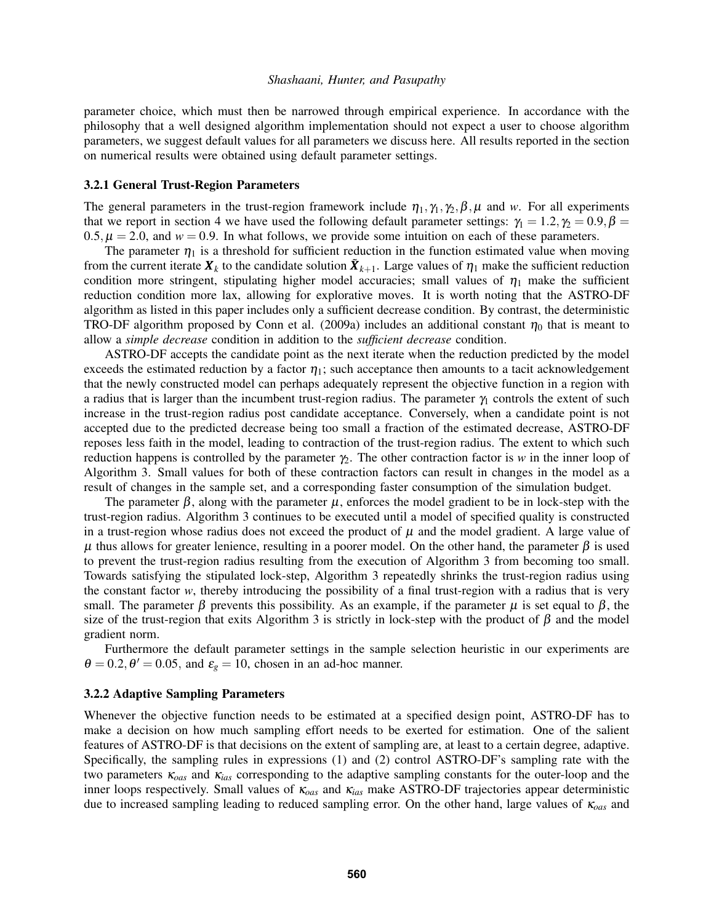parameter choice, which must then be narrowed through empirical experience. In accordance with the philosophy that a well designed algorithm implementation should not expect a user to choose algorithm parameters, we suggest default values for all parameters we discuss here. All results reported in the section on numerical results were obtained using default parameter settings.

## 3.2.1 General Trust-Region Parameters

The general parameters in the trust-region framework include  $\eta_1, \gamma_1, \gamma_2, \beta, \mu$  and *w*. For all experiments that we report in section 4 we have used the following default parameter settings:  $\gamma_1 = 1.2, \gamma_2 = 0.9, \beta =$  $0.5, \mu = 2.0$ , and  $w = 0.9$ . In what follows, we provide some intuition on each of these parameters.

The parameter  $\eta_1$  is a threshold for sufficient reduction in the function estimated value when moving from the current iterate  $X_k$  to the candidate solution  $\tilde{X}_{k+1}$ . Large values of  $\eta_1$  make the sufficient reduction condition more stringent, stipulating higher model accuracies; small values of  $\eta_1$  make the sufficient reduction condition more lax, allowing for explorative moves. It is worth noting that the ASTRO-DF algorithm as listed in this paper includes only a sufficient decrease condition. By contrast, the deterministic TRO-DF algorithm proposed by Conn et al. (2009a) includes an additional constant  $\eta_0$  that is meant to allow a *simple decrease* condition in addition to the *sufficient decrease* condition.

ASTRO-DF accepts the candidate point as the next iterate when the reduction predicted by the model exceeds the estimated reduction by a factor  $\eta_1$ ; such acceptance then amounts to a tacit acknowledgement that the newly constructed model can perhaps adequately represent the objective function in a region with a radius that is larger than the incumbent trust-region radius. The parameter  $\gamma_1$  controls the extent of such increase in the trust-region radius post candidate acceptance. Conversely, when a candidate point is not accepted due to the predicted decrease being too small a fraction of the estimated decrease, ASTRO-DF reposes less faith in the model, leading to contraction of the trust-region radius. The extent to which such reduction happens is controlled by the parameter  $\gamma$ . The other contraction factor is *w* in the inner loop of Algorithm 3. Small values for both of these contraction factors can result in changes in the model as a result of changes in the sample set, and a corresponding faster consumption of the simulation budget.

The parameter  $\beta$ , along with the parameter  $\mu$ , enforces the model gradient to be in lock-step with the trust-region radius. Algorithm 3 continues to be executed until a model of specified quality is constructed in a trust-region whose radius does not exceed the product of  $\mu$  and the model gradient. A large value of  $\mu$  thus allows for greater lenience, resulting in a poorer model. On the other hand, the parameter  $\beta$  is used to prevent the trust-region radius resulting from the execution of Algorithm 3 from becoming too small. Towards satisfying the stipulated lock-step, Algorithm 3 repeatedly shrinks the trust-region radius using the constant factor *w*, thereby introducing the possibility of a final trust-region with a radius that is very small. The parameter  $\beta$  prevents this possibility. As an example, if the parameter  $\mu$  is set equal to  $\beta$ , the size of the trust-region that exits Algorithm 3 is strictly in lock-step with the product of  $\beta$  and the model gradient norm.

Furthermore the default parameter settings in the sample selection heuristic in our experiments are  $\theta = 0.2, \theta' = 0.05$ , and  $\varepsilon_g = 10$ , chosen in an ad-hoc manner.

### 3.2.2 Adaptive Sampling Parameters

Whenever the objective function needs to be estimated at a specified design point, ASTRO-DF has to make a decision on how much sampling effort needs to be exerted for estimation. One of the salient features of ASTRO-DF is that decisions on the extent of sampling are, at least to a certain degree, adaptive. Specifically, the sampling rules in expressions (1) and (2) control ASTRO-DF's sampling rate with the two parameters κ*oas* and κ*ias* corresponding to the adaptive sampling constants for the outer-loop and the inner loops respectively. Small values of κ*oas* and κ*ias* make ASTRO-DF trajectories appear deterministic due to increased sampling leading to reduced sampling error. On the other hand, large values of κ*oas* and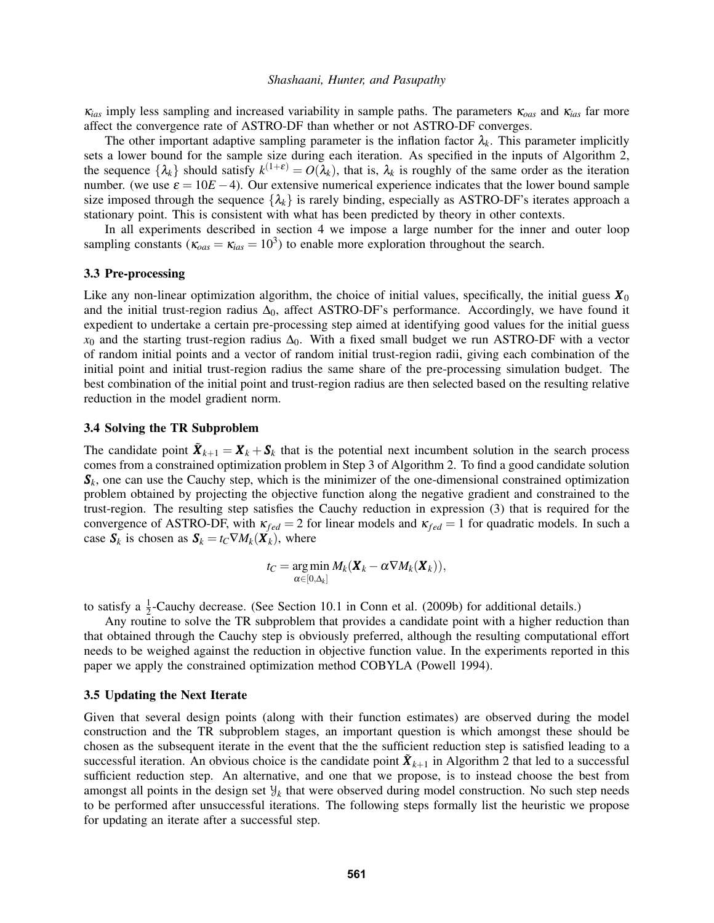κ*ias* imply less sampling and increased variability in sample paths. The parameters κ*oas* and κ*ias* far more affect the convergence rate of ASTRO-DF than whether or not ASTRO-DF converges.

The other important adaptive sampling parameter is the inflation factor  $\lambda_k$ . This parameter implicitly sets a lower bound for the sample size during each iteration. As specified in the inputs of Algorithm 2, the sequence  $\{\lambda_k\}$  should satisfy  $k^{(1+\varepsilon)} = O(\lambda_k)$ , that is,  $\lambda_k$  is roughly of the same order as the iteration number. (we use  $\varepsilon = 10E - 4$ ). Our extensive numerical experience indicates that the lower bound sample size imposed through the sequence  $\{\lambda_k\}$  is rarely binding, especially as ASTRO-DF's iterates approach a stationary point. This is consistent with what has been predicted by theory in other contexts.

In all experiments described in section 4 we impose a large number for the inner and outer loop sampling constants ( $\kappa_{oas} = \kappa_{ias} = 10^3$ ) to enable more exploration throughout the search.

#### 3.3 Pre-processing

Like any non-linear optimization algorithm, the choice of initial values, specifically, the initial guess  $X_0$ and the initial trust-region radius  $\Delta_0$ , affect ASTRO-DF's performance. Accordingly, we have found it expedient to undertake a certain pre-processing step aimed at identifying good values for the initial guess  $x_0$  and the starting trust-region radius  $\Delta_0$ . With a fixed small budget we run ASTRO-DF with a vector of random initial points and a vector of random initial trust-region radii, giving each combination of the initial point and initial trust-region radius the same share of the pre-processing simulation budget. The best combination of the initial point and trust-region radius are then selected based on the resulting relative reduction in the model gradient norm.

### 3.4 Solving the TR Subproblem

The candidate point  $\tilde{X}_{k+1} = X_k + S_k$  that is the potential next incumbent solution in the search process comes from a constrained optimization problem in Step 3 of Algorithm 2. To find a good candidate solution  $S_k$ , one can use the Cauchy step, which is the minimizer of the one-dimensional constrained optimization problem obtained by projecting the objective function along the negative gradient and constrained to the trust-region. The resulting step satisfies the Cauchy reduction in expression (3) that is required for the convergence of ASTRO-DF, with  $\kappa_{fed} = 2$  for linear models and  $\kappa_{fed} = 1$  for quadratic models. In such a case  $S_k$  is chosen as  $S_k = t_C \nabla M_k(\boldsymbol{X}_k)$ , where

$$
t_C = \argmin_{\alpha \in [0,\Delta_k]} M_k(\boldsymbol{X}_k - \alpha \nabla M_k(\boldsymbol{X}_k)),
$$

to satisfy a  $\frac{1}{2}$ -Cauchy decrease. (See Section 10.1 in Conn et al. (2009b) for additional details.)

Any routine to solve the TR subproblem that provides a candidate point with a higher reduction than that obtained through the Cauchy step is obviously preferred, although the resulting computational effort needs to be weighed against the reduction in objective function value. In the experiments reported in this paper we apply the constrained optimization method COBYLA (Powell 1994).

#### 3.5 Updating the Next Iterate

Given that several design points (along with their function estimates) are observed during the model construction and the TR subproblem stages, an important question is which amongst these should be chosen as the subsequent iterate in the event that the the sufficient reduction step is satisfied leading to a successful iteration. An obvious choice is the candidate point  $\tilde{\bm{X}}_{k+1}$  in Algorithm 2 that led to a successful sufficient reduction step. An alternative, and one that we propose, is to instead choose the best from amongst all points in the design set  $\mathcal{Y}_k$  that were observed during model construction. No such step needs to be performed after unsuccessful iterations. The following steps formally list the heuristic we propose for updating an iterate after a successful step.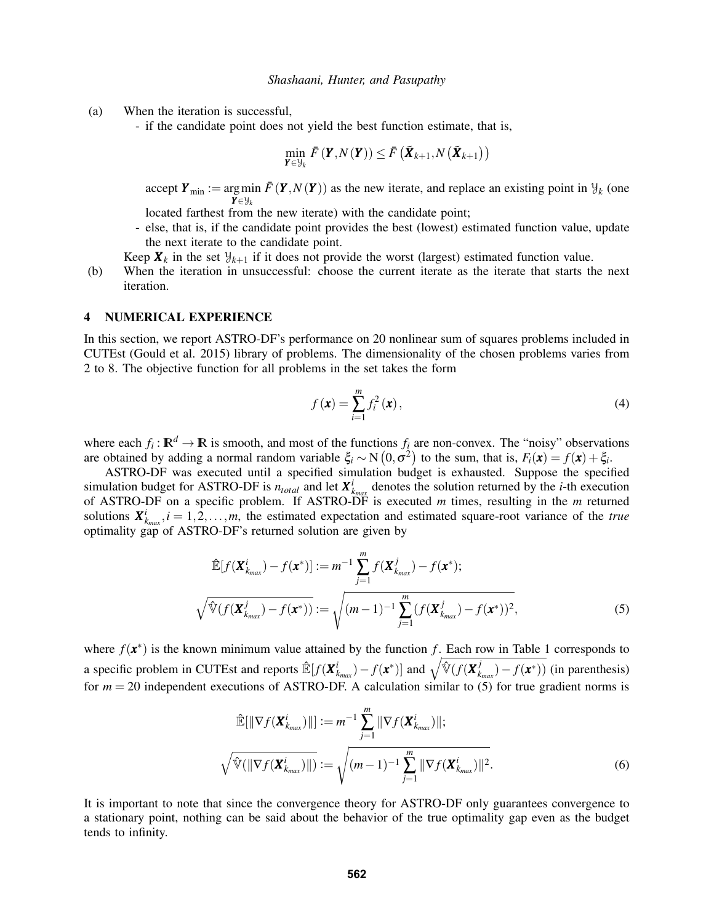- (a) When the iteration is successful,
	- if the candidate point does not yield the best function estimate, that is,

$$
\min_{\boldsymbol{Y} \in \mathcal{Y}_{k}} \bar{F}(\boldsymbol{Y}, N(\boldsymbol{Y})) \leq \bar{F}(\tilde{\boldsymbol{X}}_{k+1}, N(\tilde{\boldsymbol{X}}_{k+1}))
$$

accept  $Y_{\text{min}} := \arg \min \overline{F}(Y, N(Y))$  as the new iterate, and replace an existing point in  $\mathcal{Y}_k$  (one *Y* ∈Y*<sup>k</sup>*

located farthest from the new iterate) with the candidate point;

- else, that is, if the candidate point provides the best (lowest) estimated function value, update the next iterate to the candidate point.
- Keep  $\mathbf{X}_k$  in the set  $\mathcal{Y}_{k+1}$  if it does not provide the worst (largest) estimated function value.
- (b) When the iteration in unsuccessful: choose the current iterate as the iterate that starts the next iteration.

#### 4 NUMERICAL EXPERIENCE

In this section, we report ASTRO-DF's performance on 20 nonlinear sum of squares problems included in CUTEst (Gould et al. 2015) library of problems. The dimensionality of the chosen problems varies from 2 to 8. The objective function for all problems in the set takes the form

$$
f(\mathbf{x}) = \sum_{i=1}^{m} f_i^2(\mathbf{x}),
$$
\n(4)

where each  $f_i : \mathbb{R}^d \to \mathbb{R}$  is smooth, and most of the functions  $f_i$  are non-convex. The "noisy" observations are obtained by adding a normal random variable  $\xi_i \sim N(0, \sigma^2)$  to the sum, that is,  $F_i(\mathbf{x}) = f(\mathbf{x}) + \xi_i$ .

ASTRO-DF was executed until a specified simulation budget is exhausted. Suppose the specified simulation budget for ASTRO-DF is  $n_{total}$  and let  $\boldsymbol{X}_{k_{max}}^i$  denotes the solution returned by the *i*-th execution of ASTRO-DF on a specific problem. If ASTRO-DF is executed *m* times, resulting in the *m* returned solutions  $\mathbf{X}_{k_{max}}^i$ ,  $i = 1, 2, ..., m$ , the estimated expectation and estimated square-root variance of the *true* optimality gap of ASTRO-DF's returned solution are given by

$$
\hat{\mathbb{E}}[f(\boldsymbol{X}_{k_{max}}^{i}) - f(\boldsymbol{x}^{*})] := m^{-1} \sum_{j=1}^{m} f(\boldsymbol{X}_{k_{max}}^{j}) - f(\boldsymbol{x}^{*});
$$
\n
$$
\sqrt{\hat{\mathbb{V}}(f(\boldsymbol{X}_{k_{max}}^{j}) - f(\boldsymbol{x}^{*}))} := \sqrt{(m-1)^{-1} \sum_{j=1}^{m} (f(\boldsymbol{X}_{k_{max}}^{j}) - f(\boldsymbol{x}^{*}))^{2}},
$$
\n(5)

where  $f(\mathbf{x}^*)$  is the known minimum value attained by the function f. Each row in Table 1 corresponds to a specific problem in CUTEst and reports  $\mathbb{E}[f(\bm{X}_{k_{max}}^i) - f(\bm{x}^*)]$  and  $\sqrt{\mathbb{V}(f(\bm{X}_{k}^j))}$  $f_{k_{max}}^f$ ) –  $f(\mathbf{x}^*)$ ) (in parenthesis) for  $m = 20$  independent executions of ASTRO-DF. A calculation similar to (5) for true gradient norms is

$$
\hat{\mathbb{E}}[\|\nabla f(\boldsymbol{X}_{k_{max}}^i)\|] := m^{-1} \sum_{j=1}^m \|\nabla f(\boldsymbol{X}_{k_{max}}^i)\|;
$$
\n
$$
\sqrt{\hat{\mathbb{V}}(\|\nabla f(\boldsymbol{X}_{k_{max}}^i)\|)} := \sqrt{(m-1)^{-1} \sum_{j=1}^m \|\nabla f(\boldsymbol{X}_{k_{max}}^i)\|^2}.
$$
\n(6)

It is important to note that since the convergence theory for ASTRO-DF only guarantees convergence to a stationary point, nothing can be said about the behavior of the true optimality gap even as the budget tends to infinity.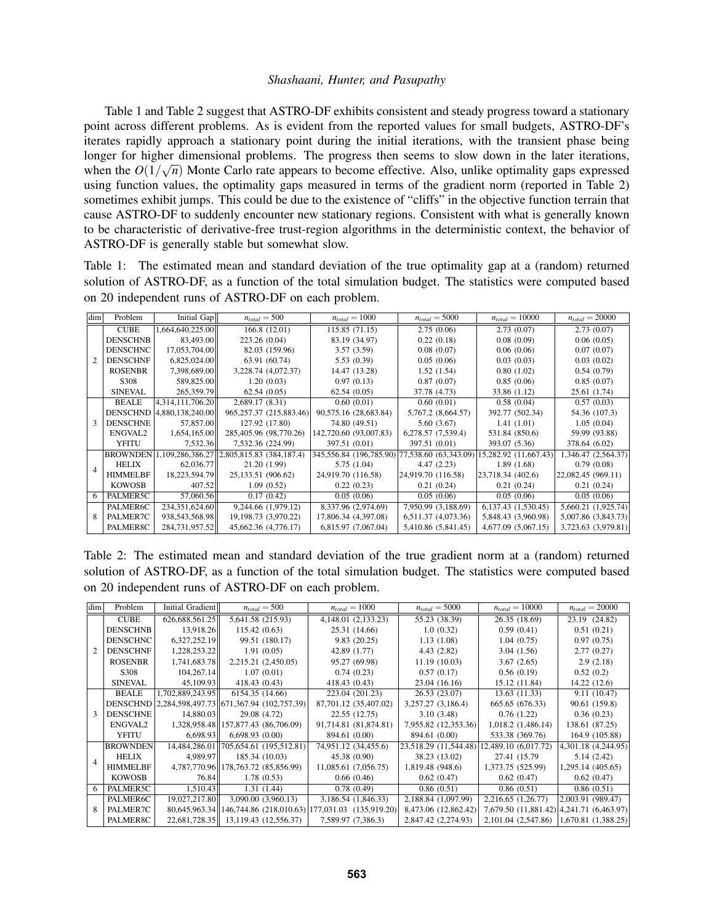Table 1 and Table 2 suggest that ASTRO-DF exhibits consistent and steady progress toward a stationary point across different problems. As is evident from the reported values for small budgets, ASTRO-DF's iterates rapidly approach a stationary point during the initial iterations, with the transient phase being longer for higher dimensional problems. The progress then seems to slow down in the later iterations, when the  $O(1/\sqrt{n})$  Monte Carlo rate appears to become effective. Also, unlike optimality gaps expressed using function values, the optimality gaps measured in terms of the gradient norm (reported in Table 2) sometimes exhibit jumps. This could be due to the existence of "cliffs" in the objective function terrain that cause ASTRO-DF to suddenly encounter new stationary regions. Consistent with what is generally known to be characteristic of derivative-free trust-region algorithms in the deterministic context, the behavior of ASTRO-DF is generally stable but somewhat slow.

Table 1: The estimated mean and standard deviation of the true optimality gap at a (random) returned solution of ASTRO-DF, as a function of the total simulation budget. The statistics were computed based on 20 independent runs of ASTRO-DF on each problem.

| dim | Problem         | Initial Gap                   | $n_{total} = 500$                         | $n_{total} = 1000$                            | $n_{total} = 5000$  | $n_{total} = 10000$   | $n_{total} = 20000$ |
|-----|-----------------|-------------------------------|-------------------------------------------|-----------------------------------------------|---------------------|-----------------------|---------------------|
| 2   | <b>CUBE</b>     | 1,664,640,225.00              | 166.8(12.01)                              | 115.85 (71.15)                                | 2.75(0.06)          | 2.73(0.07)            | 2.73(0.07)          |
|     | <b>DENSCHNB</b> | 83,493,00                     | 223.26 (0.04)                             | 83.19 (34.97)                                 | 0.22(0.18)          | 0.08(0.09)            | 0.06(0.05)          |
|     | <b>DENSCHNC</b> | 17,053,704.00                 | 82.03 (159.96)                            | 3.57(3.59)                                    | 0.08(0.07)          | 0.06(0.06)            | 0.07(0.07)          |
|     | <b>DENSCHNF</b> | 6,825,024.00                  | 63.91 (60.74)                             | 5.53(0.39)                                    | 0.05(0.06)          | 0.03(0.03)            | 0.03(0.02)          |
|     | <b>ROSENBR</b>  | 7,398,689.00                  | 3,228.74 (4,072.37)                       | 14.47 (13.28)                                 | 1.52(1.54)          | 0.80(1.02)            | 0.54(0.79)          |
|     | S308            | 589,825.00                    | 1.20(0.03)                                | 0.97(0.13)                                    | 0.87(0.07)          | 0.85(0.06)            | 0.85(0.07)          |
|     | <b>SINEVAL</b>  | 265,359.79                    | 62.54(0.05)                               | 62.54(0.05)                                   | 37.78 (4.73)        | 33.86 (1.12)          | 25.61 (1.74)        |
| 3   | <b>BEALE</b>    | 4,314,111,706.20              | 2,689.17(8.31)                            | 0.60(0.01)                                    | 0.60(0.01)          | 0.58(0.04)            | 0.57(0.03)          |
|     |                 | DENSCHND   4,880, 138, 240.00 | 965,257.37 (215,883.46)                   | 90,575.16 (28,683.84)                         | 5,767.2 (8,664.57)  | 392.77 (502.34)       | 54.36 (107.3)       |
|     | <b>DENSCHNE</b> | 57,857.00                     | 127.92 (17.80)                            | 74.80 (49.51)                                 | 5.60(3.67)          | 1.41(1.01)            | 1.05(0.04)          |
|     | ENGVAL2         | 1,654,165.00                  | 285,405.96 (98,770.26)                    | 142,720.60 (93,007.83)                        | 6,278.57 (7,539.4)  | 531.84 (850.6)        | 59.99 (93.88)       |
|     | <b>YFITU</b>    | 7,532.36                      | 7,532.36 (224.99)                         | 397.51 (0.01)                                 | 397.51 (0.01)       | 393.07 (5.36)         | 378.64 (6.02)       |
|     | <b>BROWNDEN</b> |                               | 1,109,286,386.27 2,805,815.83 (384,187.4) | 345,556.84 (196,785.90) 77,538.60 (63,343.09) |                     | 15,282.92 (11,667.43) | 1,346.47 (2,564.37) |
|     | <b>HELIX</b>    | 62,036.77                     | 21.20(1.99)                               | 5.75(1.04)                                    | 4.47(2.23)          | 1.89(1.68)            | 0.79(0.08)          |
|     | <b>HIMMELBF</b> | 18,223,594.79                 | 25,133.51 (906.62)                        | 24,919.70 (116.58)                            | 24,919.70(116.58)   | 23,718.34 (402.6)     | 22,082.45 (969.11)  |
|     | <b>KOWOSB</b>   | 407.52                        | 1.09(0.52)                                | 0.22(0.23)                                    | 0.21(0.24)          | 0.21(0.24)            | 0.21(0.24)          |
| 6   | PALMER5C        | 57,060.56                     | 0.17(0.42)                                | 0.05(0.06)                                    | 0.05(0.06)          | 0.05(0.06)            | 0.05(0.06)          |
| 8   | PALMER6C        | 234,351,624.60                | 9,244.66 (1,979.12)                       | 8,337.96 (2,974.69)                           | 7,950.99 (3,188.69) | 6,137.43 (1,530.45)   | 5,660.21 (1,925.74) |
|     | PALMER7C        | 938,543,568.98                | 19,198.73 (3,970.22)                      | 17,806.34 (4,397.08)                          | 6,511.37 (4,073.36) | 5,848.43 (3,960.98)   | 5,007.86 (3,843.73) |
|     | PALMER8C        | 284,731,957.52                | 45,662.36 (4,776.17)                      | 6,815.97 (7,067.04)                           | 5,410.86 (5,841.45) | 4,677.09 (5,067.15)   | 3,723.63 (3,979.81) |

Table 2: The estimated mean and standard deviation of the true gradient norm at a (random) returned solution of ASTRO-DF, as a function of the total simulation budget. The statistics were computed based on 20 independent runs of ASTRO-DF on each problem.

| dim | Problem         | Initial Gradient | $n_{total} = 500$                                 | $n_{total} = 1000$                                                | $n_{total} = 5000$                         | $n_{total} = 10000$                      | $n_{total} = 20000$ |
|-----|-----------------|------------------|---------------------------------------------------|-------------------------------------------------------------------|--------------------------------------------|------------------------------------------|---------------------|
| 2   | <b>CUBE</b>     | 626,688,561.25   | 5,641.58 (215.93)                                 | 4,148.01 (2,133.23)                                               | 55.23 (38.39)                              | 26.35 (18.69)                            | 23.19 (24.82)       |
|     | <b>DENSCHNB</b> | 13,918.26        | 115.42(0.63)                                      | 25.31 (14.66)                                                     | 1.0(0.32)                                  | 0.59(0.41)                               | 0.51(0.21)          |
|     | <b>DENSCHNC</b> | 6,327,252.19     | 99.51 (180.17)                                    | 9.83(20.25)                                                       | 1.13(1.08)                                 | 1.04(0.75)                               | 0.97(0.75)          |
|     | <b>DENSCHNF</b> | 1,228,253.22     | 1.91(0.05)                                        | 42.89 (1.77)                                                      | 4.43(2.82)                                 | 3.04(1.56)                               | 2.77(0.27)          |
|     | <b>ROSENBR</b>  | 1,741,683.78     | 2,215.21 (2,450.05)                               | 95.27 (69.98)                                                     | 11.19(10.03)                               | 3.67(2.65)                               | 2.9(2.18)           |
|     | S308            | 104,267.14       | 1.07(0.01)                                        | 0.74(0.23)                                                        | 0.57(0.17)                                 | 0.56(0.19)                               | 0.52(0.2)           |
|     | <b>SINEVAL</b>  | 45,109.93        | 418.43(0.43)                                      | 418.43 (0.43)                                                     | 23.04 (16.16)                              | 15.12 (11.84)                            | 14.22(12.6)         |
|     | <b>BEALE</b>    | 1,702,889,243.95 | 6154.35 (14.66)                                   | 223.04 (201.23)                                                   | 26.53 (23.07)                              | 13.63(11.33)                             | 9.11(10.47)         |
|     |                 |                  | DENSCHND 2,284,598,497.73 671,367.94 (102,757.39) | 87,701.12 (35,407.02)                                             | 3,257.27 (3,186.4)                         | 665.65 (676.33)                          | 90.61 (159.8)       |
|     | <b>DENSCHNE</b> | 14,880.03        | 29.08 (4.72)                                      | 22.55(12.75)                                                      | 3.10(3.48)                                 | 0.76(1.22)                               | 0.36(0.23)          |
|     | ENGVAL2         |                  | 1,328,958.48   157,877.43 (86,706.09)             | 91,714.81 (81,874.81)                                             | 7,955.82 (12,353.36)                       | $1,018.2$ $(1,486.14)$                   | 138.61 (87.25)      |
|     | YFITU           | 6.698.93         | 6,698.93(0.00)                                    | 894.61 (0.00)                                                     | 894.61 (0.00)                              | 533.38 (369.76)                          | 164.9 (105.88)      |
| 4   | <b>BROWNDEN</b> |                  | 14,484,286.01   705,654.61 (195,512.81)           | 74,951.12 (34,455.6)                                              | 23,518.29 (11,544.48) 12,489.10 (6,017.72) |                                          | 4,301.18 (4,244.95) |
|     | <b>HELIX</b>    | 4.989.97         | 185.34 (10.03)                                    | 45.38 (0.90)                                                      | 38.23 (13.02)                              | 27.41 (15.79)                            | 5.14(2.42)          |
|     | HIMMELBF        |                  | 4,787,770.96 178,763.72 (85,856.99)               | 11,085.61 (7,056.75)                                              | 1,819.48 (948.6)                           | 1,373.75 (525.99)                        | 1,295.14 (405.65)   |
|     | <b>KOWOSB</b>   | 76.84            | 1.78(0.53)                                        | 0.66(0.46)                                                        | 0.62(0.47)                                 | 0.62(0.47)                               | 0.62(0.47)          |
| 6   | PALMER5C        | 1,510.43         | 1.31(1.44)                                        | 0.78(0.49)                                                        | 0.86(0.51)                                 | 0.86(0.51)                               | 0.86(0.51)          |
| 8   | PALMER6C        | 19,027,217.80    | 3,090.00 (3,960.13)                               | 3,186.54 (1,846.33)                                               | 2,188.84 (1,097.99)                        | 2,216.65 (1,26.77)                       | 2,003.91 (989.47)   |
|     | PALMER7C        |                  |                                                   | 80,645,963.34   146,744.86 (218,010.63)   177,031.03 (135,919.20) | 8,473.06 (12,862.42)                       | 7,679.50 (11,881.42) 4,241.71 (6,463.97) |                     |
|     | PALMER8C        |                  | 22,681,728.35   13,119.43 (12,556.37)             | 7,589.97 (7,386.3)                                                | 2,847.42 (2,274.93)                        | 2,101.04 (2,547.86) 1,670.81 (1,388.25)  |                     |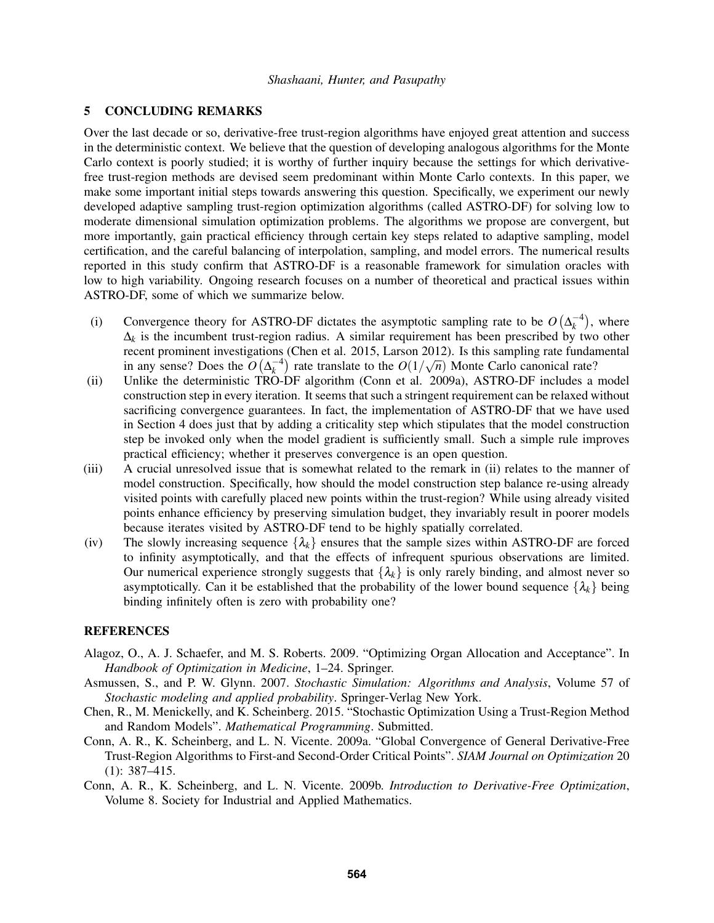## 5 CONCLUDING REMARKS

Over the last decade or so, derivative-free trust-region algorithms have enjoyed great attention and success in the deterministic context. We believe that the question of developing analogous algorithms for the Monte Carlo context is poorly studied; it is worthy of further inquiry because the settings for which derivativefree trust-region methods are devised seem predominant within Monte Carlo contexts. In this paper, we make some important initial steps towards answering this question. Specifically, we experiment our newly developed adaptive sampling trust-region optimization algorithms (called ASTRO-DF) for solving low to moderate dimensional simulation optimization problems. The algorithms we propose are convergent, but more importantly, gain practical efficiency through certain key steps related to adaptive sampling, model certification, and the careful balancing of interpolation, sampling, and model errors. The numerical results reported in this study confirm that ASTRO-DF is a reasonable framework for simulation oracles with low to high variability. Ongoing research focuses on a number of theoretical and practical issues within ASTRO-DF, some of which we summarize below.

- (i) Convergence theory for ASTRO-DF dictates the asymptotic sampling rate to be  $O(\Delta_k^{-4})$ , where  $\Delta_k$  is the incumbent trust-region radius. A similar requirement has been prescribed by two other recent prominent investigations (Chen et al. 2015, Larson 2012). Is this sampling rate fundamental Fecent prominent investigations (Chen et al. 2015, Larson 2012). Is this sampling rate fundal<br>in any sense? Does the  $O(\Delta_k^{-4})$  rate translate to the  $O(1/\sqrt{n})$  Monte Carlo canonical rate?
- (ii) Unlike the deterministic TRO-DF algorithm (Conn et al. 2009a), ASTRO-DF includes a model construction step in every iteration. It seems that such a stringent requirement can be relaxed without sacrificing convergence guarantees. In fact, the implementation of ASTRO-DF that we have used in Section 4 does just that by adding a criticality step which stipulates that the model construction step be invoked only when the model gradient is sufficiently small. Such a simple rule improves practical efficiency; whether it preserves convergence is an open question.
- (iii) A crucial unresolved issue that is somewhat related to the remark in (ii) relates to the manner of model construction. Specifically, how should the model construction step balance re-using already visited points with carefully placed new points within the trust-region? While using already visited points enhance efficiency by preserving simulation budget, they invariably result in poorer models because iterates visited by ASTRO-DF tend to be highly spatially correlated.
- (iv) The slowly increasing sequence  $\{\lambda_k\}$  ensures that the sample sizes within ASTRO-DF are forced to infinity asymptotically, and that the effects of infrequent spurious observations are limited. Our numerical experience strongly suggests that  $\{\lambda_k\}$  is only rarely binding, and almost never so asymptotically. Can it be established that the probability of the lower bound sequence  $\{\lambda_k\}$  being binding infinitely often is zero with probability one?

### **REFERENCES**

- Alagoz, O., A. J. Schaefer, and M. S. Roberts. 2009. "Optimizing Organ Allocation and Acceptance". In *Handbook of Optimization in Medicine*, 1–24. Springer.
- Asmussen, S., and P. W. Glynn. 2007. *Stochastic Simulation: Algorithms and Analysis*, Volume 57 of *Stochastic modeling and applied probability*. Springer-Verlag New York.
- Chen, R., M. Menickelly, and K. Scheinberg. 2015. "Stochastic Optimization Using a Trust-Region Method and Random Models". *Mathematical Programming*. Submitted.
- Conn, A. R., K. Scheinberg, and L. N. Vicente. 2009a. "Global Convergence of General Derivative-Free Trust-Region Algorithms to First-and Second-Order Critical Points". *SIAM Journal on Optimization* 20 (1): 387–415.
- Conn, A. R., K. Scheinberg, and L. N. Vicente. 2009b. *Introduction to Derivative-Free Optimization*, Volume 8. Society for Industrial and Applied Mathematics.